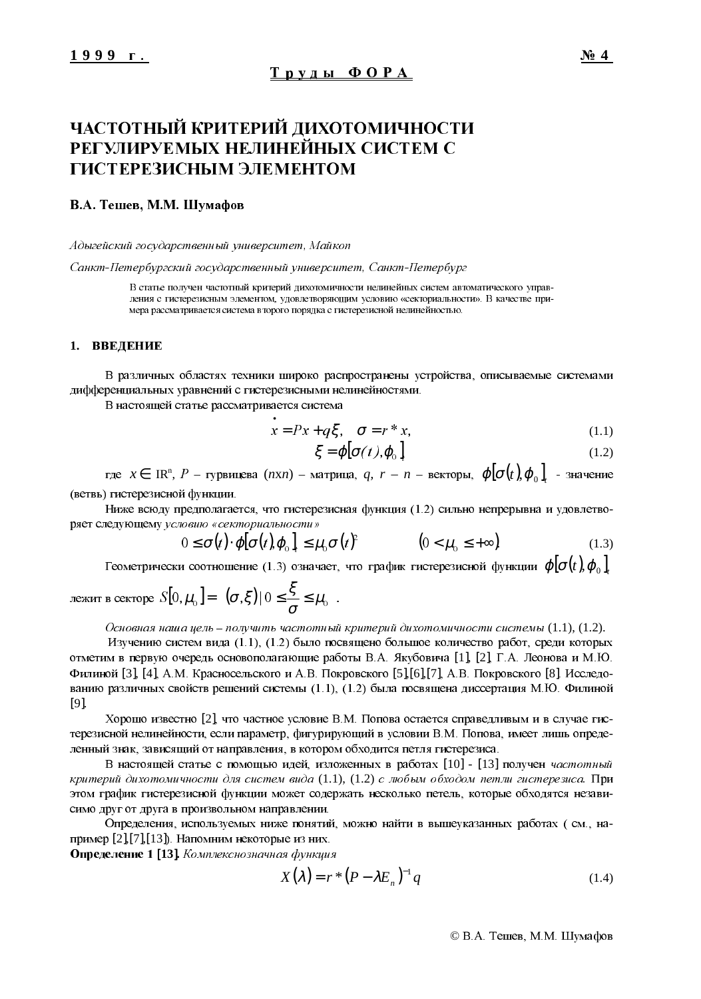# ЧАСТОТНЫЙ КРИТЕРИЙ ДИХОТОМИЧНОСТИ РЕГУЛИРУЕМЫХ НЕЛИНЕЙНЫХ СИСТЕМ С ГИСТЕРЕЗИСНЫМ ЭЛЕМЕНТОМ

## В.А. Тешев, М.М. Шумафов

 $A\hspace{0.9pt}$ дыгейский госу $\delta$ арственный университет, Майкоп

Санкт-Петербургский государственный университет, Санкт-Петербург

В статье получен частотный критерий дихотомичности нелинейных систем автоматического управления с гистерезисным элементом, удовлетворяющим условию «секториальности». В качестве примера рассматривается система второго порядка с гистерезисной нелинейностью.

#### 1. ВВЕДЕНИЕ

В различных областях техники широко распространены устройства, описываемые системами дифференциальных уравнений с гистерезисными нелинейностями.

В настоящей статье рассматривается система

$$
\dot{x} = Px + q\xi, \quad \sigma = r * x,\tag{1.1}
$$

$$
\xi = \boldsymbol{\varphi} [\boldsymbol{\sigma}(t), \boldsymbol{\varphi}_0]_t \tag{1.2}
$$

где  $x \in \math{{IR}^n$ ,  $P$  – гурвицева (*nxn*) – матрица,  $q$ ,  $r$  –  $n$  – векторы,  $\varphi [\sigma(t),\varphi_{_0}]_{_t}$  – значение (ветвь) гистерезисной функции.

Ниже всюду предполагается, что гистерезисная функция (1.2) сильно непрерывна и удовлетворяет следующему условию «секториальности»

$$
0 \leq \sigma(t) \cdot \varphi[\sigma(t), \varphi_0]_t \leq \mu_0 \sigma(t)^2 \qquad (0 < \mu_0 \leq +\infty).
$$
 (1.3)

 $\Gamma$ еометрически соотношение (1.3) означает, что график гистерезисной функции  $\varphi | \sigma(t)$ ,  $\varphi_0$ 

$$
\text{REKHT B Cekrope } S[0, \mu_0] = \left\{ (\sigma, \xi) \middle| 0 \leq \frac{\xi}{\sigma} \leq \mu_0 \right\}.
$$

Основная наша цель - получить частотный критерий дихотомичности системы  $(1.1)$ ,  $(1.2)$ .

Изучению систем вида (1.1), (1.2) было посвящено большое количество работ, среди которых отметим в первую очередь основополагающие работы В.А. Якубовича [1], [2], Г.А. Леонова и М.Ю. Филиной [3], [4]. А.М. Красносельского и А.В. Покровского [5],[6],[7], А.В. Покровского [8]. Исследованию различных свойств решений системы  $(1.1)$ ,  $(1.2)$  была посвящена диссертация М.Ю. Филиной [9].

Хорошо известно [2], что частное условие В.М. Попова остается справедливым и в случае гистерезисной нелинейности, если параметр, фигурирующий в условии В.М. Попова, имеет лишь определенный знак, зависящий от направления, в котором обходится петля гистерезиса,

В настоящей статье с помощью идей, изложенных в работах [10] - [13] получен частотный критерий дихотомичности для систем вида  $(1.1)$ ,  $(1.2)$  с любым обходом петли гистерезиса. При этом график гистерезисной функции может содержать несколько петель, которые обходятся независимо друг от друга в произвольном направлении.

Определения, используемых ниже понятий, можно найти в вышеуказанных работах (см., например  $[2]$ , [7], [13]). Напомним некоторые из них.

Определение 1 [13]. Комплекснозначная функция

$$
X(\lambda) = r^* (P - \lambda E_n)^{-1} q \tag{1.4}
$$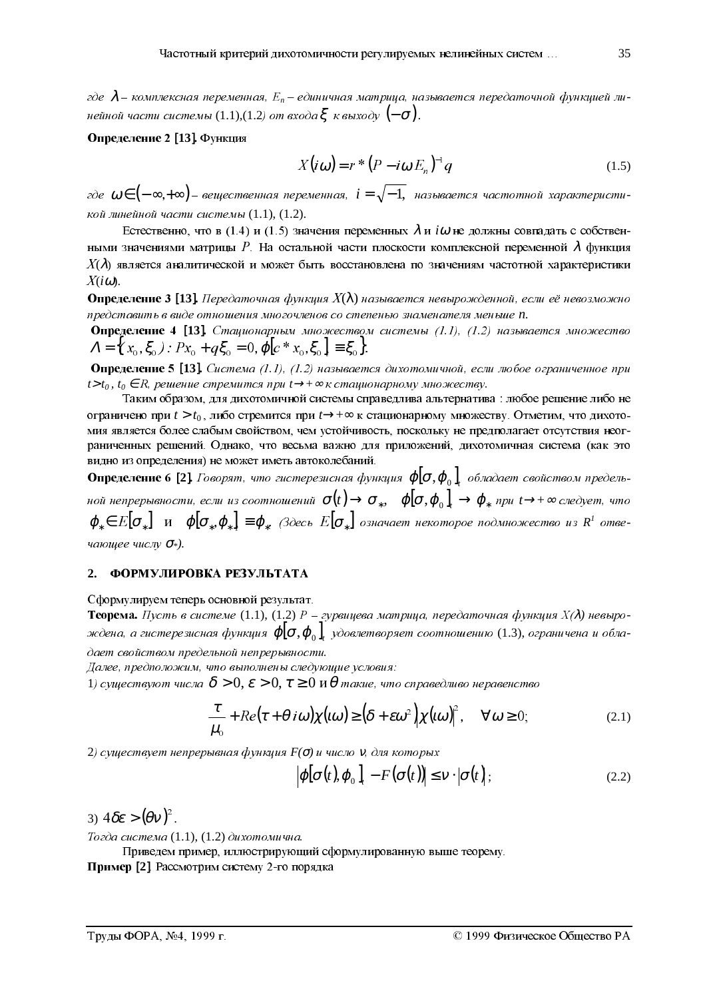где  $\lambda$  — комплексная переменная,  $E_n$  — единичная матрица, называется передаточной функцией линейной части системы (1.1),(1.2) от входа $\xi$  к выходу  $(-\sigma)$ .

### Определение 2 [13]. Функция

$$
X(i\omega) = r * (P - i\omega E_n)^{-1} q \tag{1.5}
$$

где  $\omega \in (-\infty, +\infty)$ — вещественная переменная,  $i = \sqrt{-1}$ , называется частотной характеристикой линейной части системы (1.1), (1.2).

Естественно, что в (1.4) и (1.5) значения переменных  $\lambda$  и *i* $\omega$  не должны совпадать с собственными значениями матрицы P. На остальной части плоскости комплексной переменной  $\lambda$  функция  $X(\lambda)$  является аналитической и может быть восстановлена по значениям частотной характеристики  $X(i\omega)$ .

**Оппелеление 3 [13],** Передаточная функция  $X(\lambda)$  называется невырожденной, если её невозможно представить в виде отношения многочленов со степенью знаменателя меньше n.

**Определение 4 [13].** Стационарным множеством системы  $(1.1)$ ,  $(1.2)$  называется множество  $\Lambda = \{ (x_0, \xi_0) : Px_0 + q\xi_0 = 0, \phi[c*x_0, \xi_0] \equiv \xi_0 \}.$ 

**Определение 5 [13].** Система (1.1), (1.2) называется дихотомичной, если любое ограниченное при  $t > t_0$ ,  $t_0 \in R$ , решение стремится при  $t \rightarrow +\infty$  к стационарному множеству.

Таким образом, для дихотомичной системы справедлива альтернатива : любое решение либо не ограничено при  $t > t_0$ , либо стремится при  $t \rightarrow +\infty$  к стационарному множеству. Отметим, что дихотомия является более слабым свойством, чем устойчивость, поскольку не предполагает отсутствия неограниченных решений. Однако, что весьма важно для приложений, дихотомичная система (как это видно из определения) не может иметь автоколебаний.

**Определение 6 [2].** Говорят, что гистерезисная функция  $\varphi[\sigma,\varphi_0]$ , обладает свойством предельной непрерывности, если из соотношений  $\sigma(t) \to \sigma_*$ ,  $\varphi[\sigma, \varphi_0]$ ,  $\to \varphi_*$  при  $t \to +\infty$  следует, что  $\varphi_* \in E[\sigma_*]$  и  $\varphi[\sigma_*,\varphi_*] \equiv \varphi_*$ . (Здесь  $E[\sigma_*]$  означает некоторое подмножество из  $R^1$  отвечающее числу  $\sigma$ »).

#### 2. ФОРМУЛИРОВКА РЕЗУЛЬТАТА

Сформулируем теперь основной результат.

**Теорема.** Пусть в системе (1.1), (1.2) P – гурвицева матрица, передаточная функция  $X(\lambda)$  невырождена, а гистерезисная функция  $\varphi[\sigma,\varphi_0]$ , удовлетворяет соотношению (1.3), ограничена и обладает свойством предельной непрерывности.

Далее, предположим, что выполнены следующие условия:

1) существуют числа  $\delta > 0$ ,  $\varepsilon > 0$ ,  $\tau \geq 0$  и  $\theta$  такие, что справедливо неравенство

$$
\frac{\tau}{\mu_0} + Re(\tau + \theta i\omega)\chi(\omega) \ge (\delta + \varepsilon\omega^2)\chi(\omega)^2, \quad \forall \omega \ge 0; \tag{2.1}
$$

2) существует непрерывная функция  $F(\sigma)$  и число  $v$ , для которых

$$
\left|\varphi[\sigma(t),\varphi_0]\right|_t - F(\sigma(t)) \leq v \cdot |\sigma(t)|;
$$
\n(2.2)

3)  $4\delta \varepsilon > (\theta v)^2$ .

.<br>Тогда система (1.1), (1.2) дихотомична.

Приведем пример, иллюстрирующий сформулированную выше теорему.

Пример [2]. Рассмотрим систему 2-го порядка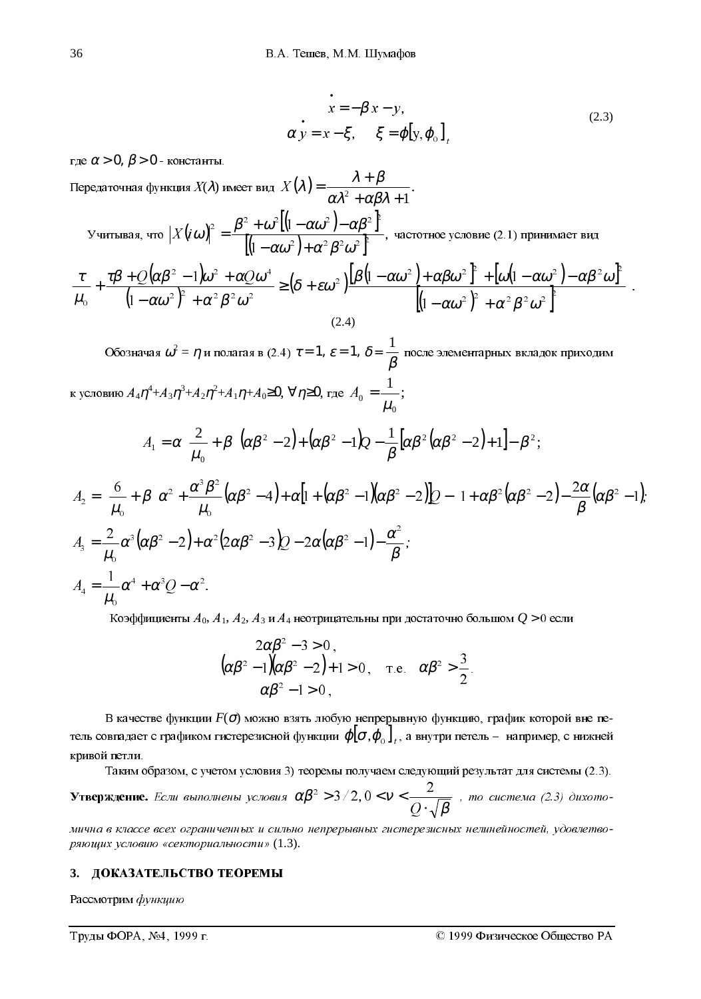$$
\begin{cases}\n\dot{x} = -\beta x - y, \\
\alpha y = x - \xi, \quad \xi = \varphi[y, \varphi_0]_t\n\end{cases}
$$
\n(2.3)

где  $\alpha$  > 0,  $\beta$  > 0 - константы.

Передаточная функция  $X(\lambda)$  имеет вид  $X(\lambda) = \frac{\lambda + \beta}{\alpha \lambda^2 + \alpha \beta^2 + 1}$ . Учитывая, что  $\left|X(i\omega)\right|^2 = \frac{\beta^2 + \omega^2 \left[(1-\alpha\omega^2) - \alpha\beta^2\right]^2}{\left[(1-\alpha\omega^2) + \alpha^2\beta^2\omega^2\right]^2}$ , частотное условие (2.1) принимает вид  $\frac{\tau}{\mu_{\text{o}}} + \frac{\tau \beta + \mathcal{Q}(\alpha \beta^2 - 1)\omega^2 + \alpha \mathcal{Q} \omega^4}{\left(1 - \alpha \omega^2\right)^2 + \alpha^2 \beta^2 \omega^2} \geq \left(\delta + \varepsilon \omega^2\right) \frac{\left[\beta\left(1 - \alpha \omega^2\right) + \alpha \beta \omega^2\right]^2 + \left[\omega\left(1 - \alpha \omega^2\right) - \alpha \beta^2 \omega\right]^2}{\left[\left(1 - \alpha \omega^2\right)^2 + \alpha^2 \beta^2 \omega^2\right]^2}$  $(2.4)$ 

Обозначая  $\omega^2 = \eta$  и полагая в (2.4)  $\tau = 1$ ,  $\varepsilon = 1$ ,  $\delta = \frac{1}{\beta}$  после элементарных вкладок приходим к условию  $A_4 \eta^4 + A_3 \eta^3 + A_2 \eta^2 + A_1 \eta + A_0 \ge 0$ , ∀  $\eta \ge 0$ , где  $A_0 = \frac{1}{\mu_0}$ ;  $A_1 = \alpha \left( \frac{2}{\mu_0} + \beta \right) \left( \alpha \beta^2 - 2 \right) + \left( \alpha \beta^2 - 1 \right) Q - \frac{1}{\beta} \left[ \alpha \beta^2 \left( \alpha \beta^2 - 2 \right) + 1 \right] - \beta^2;$  $A_2 = \left(\frac{6}{\mu} + \beta\right)\alpha^2 + \frac{\alpha^3\beta^2}{\mu}(\alpha\beta^2 - 4) + \alpha\left[1 + (\alpha\beta^2 - 1)(\alpha\beta^2 - 2)\right]\beta - \left[1 + \alpha\beta^2(\alpha\beta^2 - 2) - \frac{2\alpha}{\beta}(\alpha\beta^2 - 1)\right]$  $A_3=\frac{2}{\mu}\alpha^3(\alpha\beta^2-2)+\alpha^2(2\alpha\beta^2-3)Q-2\alpha(\alpha\beta^2-1)-\frac{\alpha^2}{\beta};$  $A_4 = \frac{1}{\mu} \alpha^4 + \alpha^3 Q - \alpha^2.$ 

Коэффициенты  $A_0$ ,  $A_1$ ,  $A_2$ ,  $A_3$  и  $A_4$  неотрицательны при достаточно большом  $Q > 0$  если

$$
\begin{cases}\n2\alpha\beta^2 - 3 > 0, \\
(\alpha\beta^2 - 1)(\alpha\beta^2 - 2) + 1 > 0, \quad \text{if } \alpha\beta^2 > \frac{3}{2} \\
\alpha\beta^2 - 1 > 0,\n\end{cases}
$$

В качестве функции  $F(\sigma)$  можно взять любую непрерывную функцию, график которой вне петель совпадает с графиком гистерезисной функции  $\varphi[\sigma,\varphi_0]_t$ , а внутри петель – например, с нижней кривой петли.

Таким образом, с учетом условия 3) теоремы получаем следующий результат для системы (2.3).

**Утверждение.** Если выполнены условия  $\alpha\beta^2 > 3/2$ ,  $0 < v < \frac{2}{O \cdot \sqrt{\beta}}$ , то система (2.3) дихото-

мична в классе всех ограниченных и сильно непрерывных гистерезисных нелинейностей, удовлетворяющих условию «секториальности» (1.3).

#### ДОКАЗАТЕЛЬСТВО ТЕОРЕМЫ  $3.$

Рассмотрим функцию

Труды ФОРА, №4, 1999 г.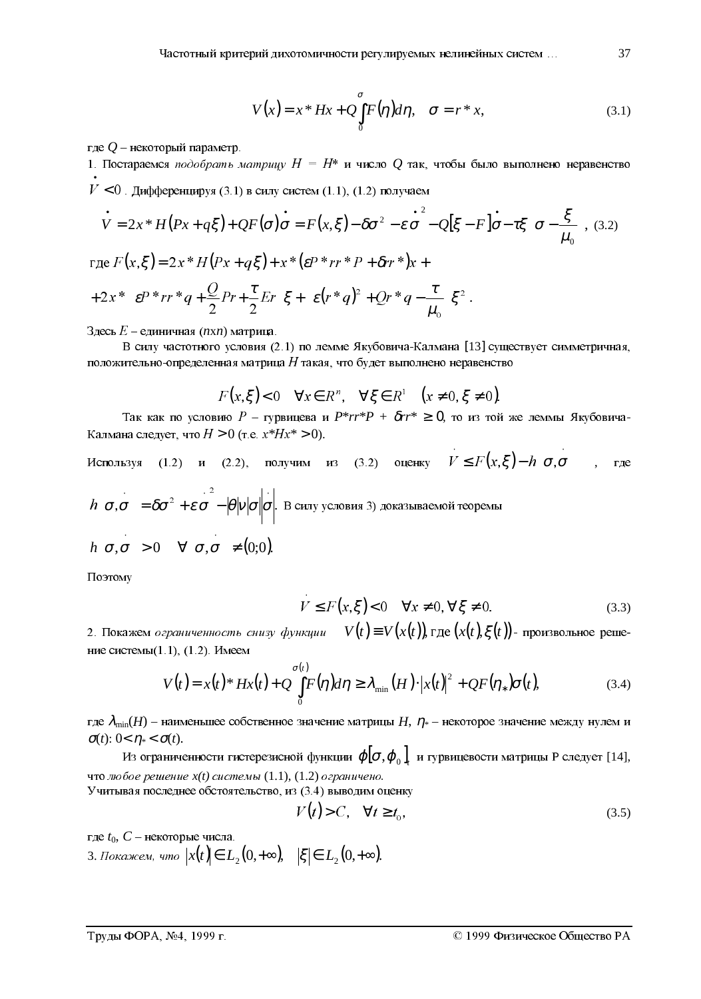$$
V(x) = x * Hx + Q \int_{0}^{\sigma} F(\eta) d\eta, \quad \sigma = r * x,
$$
\n(3.1)

где  $Q$  – некоторый параметр.

1. Постараемся подобрать матрицу  $H = H^*$  и число  $Q$  так, чтобы было выполнено неравенство  $V$  < 0. Дифференцируя (3.1) в силу систем (1.1), (1.2) получаем

$$
\dot{V} = 2x * H(Px + q\xi) + QF(\sigma)\dot{\sigma} = F(x,\xi) - \delta\sigma^2 - \varepsilon\dot{\sigma}^2 - Q[\xi - F]\dot{\sigma} - \tau\xi\left(\sigma - \frac{\xi}{\mu_0}\right)
$$
(3.2)  
\n
$$
\text{rge } F(x,\xi) = 2x * H(Px + q\xi) + x * (\varepsilon P * rr * P + \delta rr * )x +
$$
\n
$$
+ 2x * \left(\varepsilon P * rr * q + \frac{Q}{2}Pr + \frac{\tau}{2}Er\right)\xi + \left(\varepsilon (r * q)^2 + Qr * q - \frac{\tau}{\mu_0}\right)\xi^2.
$$

Здесь  $E$  – единичная (*nxn*) матрица.

В силу частотного условия (2.1) по лемме Якубовича-Калмана [13] существует симметричная, положительно-определенная матрица  $H$  такая, что будет выполнено неравенство

$$
F(x,\xi) < 0 \quad \forall x \in R^n, \quad \forall \xi \in R^1 \quad \big(x \neq 0, \xi \neq 0\big).
$$

Так как по условию  $P - r$ урвицева и  $P^* r r^* P + \delta r r^* \ge 0$ , то из той же леммы Якубовича-Калмана следует, что  $H > 0$  (т.е.  $x^*Hx^* > 0$ ).

Используя (1.2) и (2.2), получим из (3.2) оцениу 
$$
V \le F(x,\xi) - h(\sigma,\sigma)
$$
, где  
\n
$$
h(\sigma,\sigma) = \delta\sigma^2 + \varepsilon\sigma - |\theta|v|\sigma|\sigma|.
$$
В силу условия 3) доказъваемой теорены  
\n
$$
h(\sigma,\sigma) > 0 \quad \forall (\sigma,\sigma) \neq (0,0).
$$

Поэтому

$$
V \le F(x,\xi) < 0 \quad \forall x \ne 0, \forall \xi \ne 0. \tag{3.3}
$$

2. Покажем *ограниченность снизу функции*  $V(t) \equiv V(x(t))$ , где  $(x(t), \xi(t))$ - произвольное решение системы $(1.1)$ ,  $(1.2)$ . Имеем

$$
V(t) = x(t)^* Hx(t) + Q \int_0^{\sigma(t)} F(\eta) d\eta \ge \lambda_{\min}(H) \cdot |x(t)|^2 + QF(\eta_*) \sigma(t), \tag{3.4}
$$

где  $\lambda_{\min}(H)$  – наименьшее собственное значение матрицы  $H$ ,  $\eta_{*}$  – некоторое значение между нулем и  $\sigma(t)$ : 0<  $\eta$  <  $\sigma(t)$ .

Из ограниченности гистерезисной функции  $\varphi[\sigma,\varphi_0]$ , и гурвицевости матрицы Р следует [14], что любое решение  $x(t)$  системы  $(1.1)$ ,  $(1.2)$  ограничено.

Учитывая последнее обстоятельство, из (3.4) выводим оценку

$$
V(t) > C, \quad \forall t \ge t_0,\tag{3.5}
$$

где  $t_0$ ,  $C$  – некоторые числа.

3. Покажем, что  $|x(t)| \in L_2(0, +\infty)$ ,  $|\xi| \in L_2(0, +\infty)$ .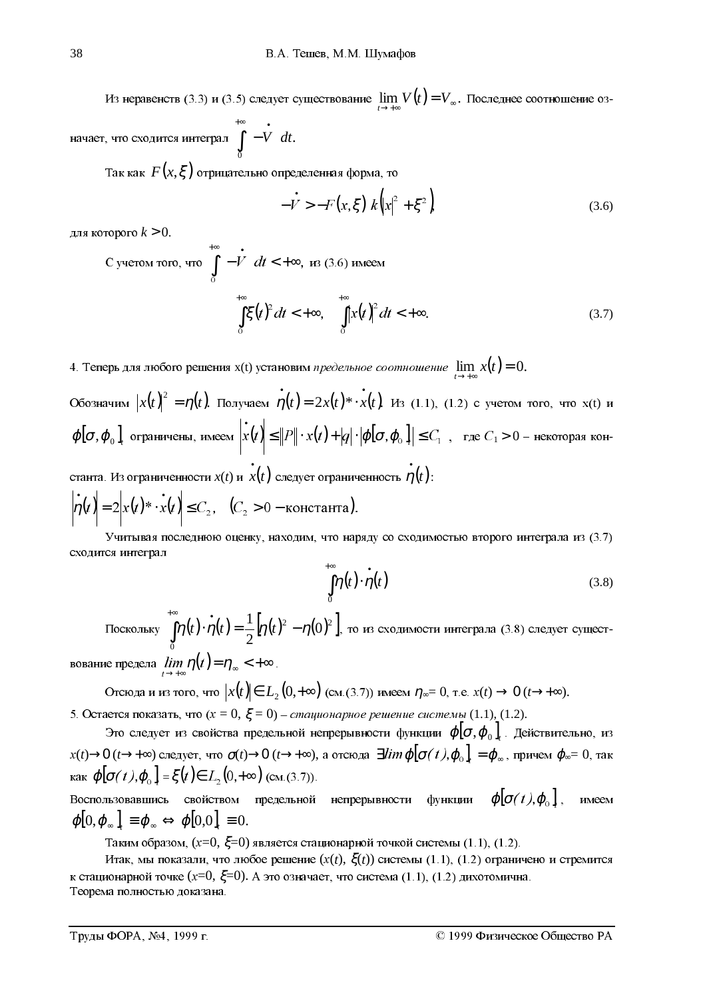Из неравенств (3.3) и (3.5) следует существование  $\lim_{t \to +\infty} V(t) = V_{\infty}$ . Последнее соотношение оз-

начает, что сходится интеграл  $\int_{-\infty}^{\infty}(-V)dt$ .

Так как  $F(x,\xi)$  отрицательно определенная форма, то

$$
-\vec{V} > -F(x,\xi) \, k \left( |x|^2 + \xi^2 \right) \tag{3.6}
$$

лля которого  $k > 0$ .

C yHeron foro, 4.7° 
$$
\int_{0}^{+\infty} \left(-\frac{t}{t}\right) dt < +\infty, \text{ is } (3.6) \text{ and}
$$

$$
\int_{0}^{+\infty} \xi(t)^2 dt < +\infty, \quad \int_{0}^{+\infty} |x(t)|^2 dt < +\infty.
$$
 (3.7)

4. Теперь для любого решения x(t) установим предельное соотношение  $\lim_{t\to+\infty} x(t) = 0$ .

Обозначим  $|x(t)|^2 = \eta(t)$ . Получаем  $\eta(t) = 2x(t) * x(t)$ . Из (1.1), (1.2) с учетом того, что x(t) и  $\phi[\sigma, \varphi_0]$ , ограничены, имеем  $\left|x(t)\right| \leq ||P|| \cdot x(t) + |q| \cdot |\varphi[\sigma, \varphi_0]| \leq C_1$ , где  $C_1 > 0$  – некоторая кон-

станта. Из ограниченности  $x(t)$  и  $\dot{x}(t)$  следует ограниченность  $\dot{\eta}(t)$ :  $|\dot{\overline{\eta}}(t)| = 2 |x(t)^* \cdot \dot{x}(t)| \le C_2, \quad (C_2 > 0 - \text{koncta}$ нта).

Учитывая последнюю оценку, находим, что наряду со сходимостью второго интеграла из (3.7) сходится интеграл

$$
\int_{0}^{\infty} \eta(t) \cdot \dot{\eta}(t) \tag{3.8}
$$

Поскольку  $\int_{0}^{\infty} \eta(t) \cdot \dot{\eta}(t) = \frac{1}{2} [\eta(t)^{2} - \eta(0)^{2}]$ , то из сходимости интеграла (3.8) следует сущест-

вование предела  $\lim_{h \to 0} \eta(t) = \eta_{\infty} < +\infty$ .

Отсюда и из того, что  $x(t) \in L_2(0,+\infty)$  (см.(3.7)) имеем  $\eta_{\infty} = 0$ , т.е.  $x(t) \to 0$  ( $t \to +\infty$ ). 5. Остается показать, что  $(x = 0, \xi = 0)$  – *стационарное решение системы* (1.1), (1.2).

Это следует из свойства предельной непрерывности функции  $\varphi[\sigma,\varphi_0]$ . Действительно, из  $x(t) \to 0$   $(t \to +\infty)$  следует, что  $\sigma(t) \to 0$   $(t \to +\infty)$ , а отсюда  $\exists \lim \varphi[\sigma(t), \varphi_0]_t = \varphi_\infty$ , причем  $\varphi_\infty = 0$ , так как  $\varphi[\sigma(t), \varphi_0]_t = \xi(t) \in L_2(0, +\infty)$  (см.(3.7)).

предельной непрерывности функции  $\boldsymbol{\varphi}[\boldsymbol{\sigma}(t),\boldsymbol{\varphi}_{\text{o}}]$ , имеем Воспользовавшись свойством  $\varphi[0,\varphi_{\infty}] \equiv \varphi_{\infty} \Leftrightarrow \varphi[0,0] \equiv 0.$ 

Таким образом,  $(x=0, \xi=0)$  является стационарной точкой системы (1.1), (1.2).

Итак, мы показали, что любое решение  $(x(t), \xi(t))$  системы (1.1), (1.2) ограничено и стремится к стационарной точке (x=0,  $\xi$ =0). А это означает, что система (1.1), (1.2) дихотомична. Теорема полностью доказана.